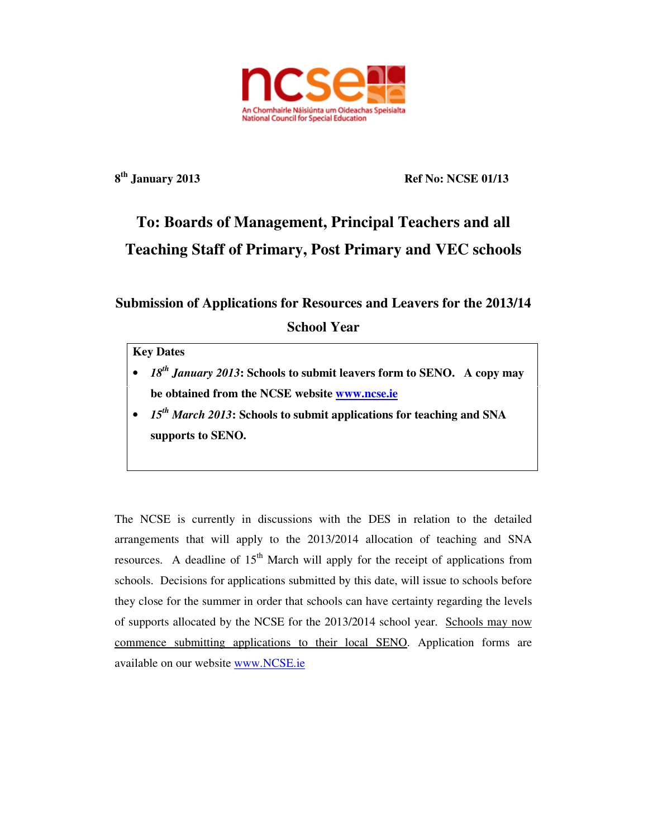

**8 th January 2013 Ref No: NCSE 01/13** 

# **To: Boards of Management, Principal Teachers and all Teaching Staff of Primary, Post Primary and VEC schools**

## **Submission of Applications for Resources and Leavers for the 2013/14**

**School Year** 

## **Key Dates**

- *18th January 2013***: Schools to submit leavers form to SENO. A copy may be obtained from the NCSE website www.ncse.ie**
- *15th March 2013***: Schools to submit applications for teaching and SNA supports to SENO.**

The NCSE is currently in discussions with the DES in relation to the detailed arrangements that will apply to the 2013/2014 allocation of teaching and SNA resources. A deadline of  $15<sup>th</sup>$  March will apply for the receipt of applications from schools. Decisions for applications submitted by this date, will issue to schools before they close for the summer in order that schools can have certainty regarding the levels of supports allocated by the NCSE for the 2013/2014 school year. Schools may now commence submitting applications to their local SENO. Application forms are available on our website www.NCSE.ie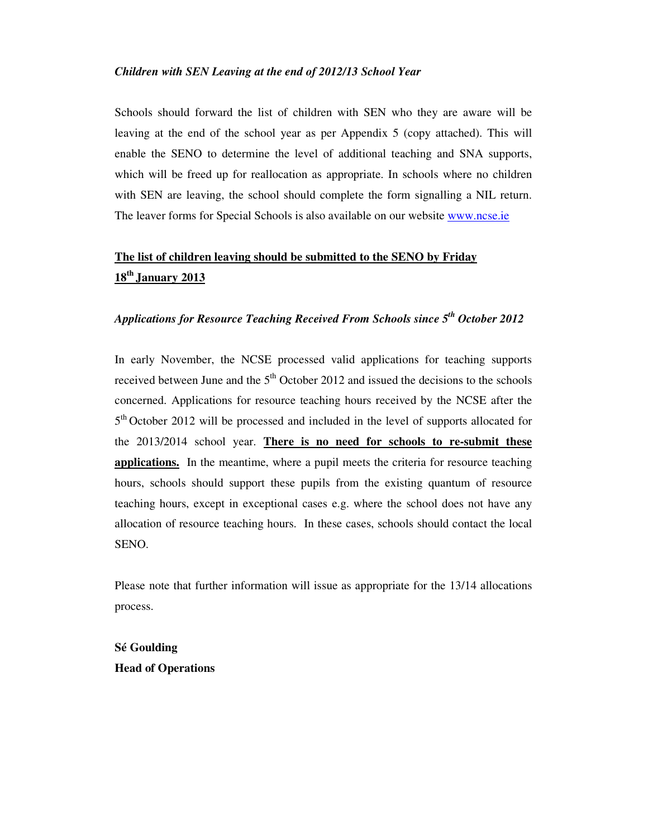#### *Children with SEN Leaving at the end of 2012/13 School Year*

Schools should forward the list of children with SEN who they are aware will be leaving at the end of the school year as per Appendix 5 (copy attached). This will enable the SENO to determine the level of additional teaching and SNA supports, which will be freed up for reallocation as appropriate. In schools where no children with SEN are leaving, the school should complete the form signalling a NIL return. The leaver forms for Special Schools is also available on our website www.ncse.ie

# **The list of children leaving should be submitted to the SENO by Friday 18th January 2013**

### *Applications for Resource Teaching Received From Schools since 5th October 2012*

In early November, the NCSE processed valid applications for teaching supports received between June and the  $5<sup>th</sup>$  October 2012 and issued the decisions to the schools concerned. Applications for resource teaching hours received by the NCSE after the 5<sup>th</sup> October 2012 will be processed and included in the level of supports allocated for the 2013/2014 school year. **There is no need for schools to re-submit these applications.** In the meantime, where a pupil meets the criteria for resource teaching hours, schools should support these pupils from the existing quantum of resource teaching hours, except in exceptional cases e.g. where the school does not have any allocation of resource teaching hours. In these cases, schools should contact the local SENO.

Please note that further information will issue as appropriate for the 13/14 allocations process.

**Sé Goulding Head of Operations**